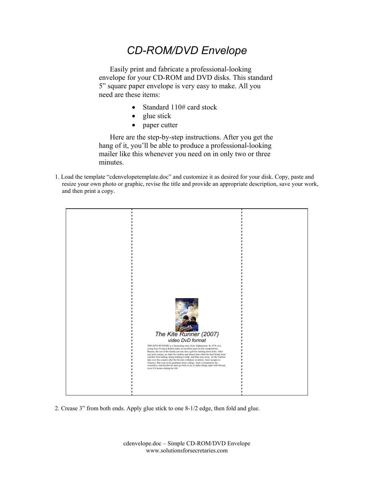## *CD-ROM/DVD Envelope*

Easily print and fabricate a professional-looking envelope for your CD-ROM and DVD disks. This standard 5" square paper envelope is very easy to make. All you need are these items:

- Standard 110# card stock
- glue stick
- paper cutter

Here are the step-by-step instructions. After you get the hang of it, you'll be able to produce a professional-looking mailer like this whenever you need on in only two or three minutes.

1. Load the template "cdenvelopetemplate.doc" and customize it as desired for your disk. Copy, paste and resize your own photo or graphic, revise the title and provide an appropriate description, save your work, and then print a copy.



2. Crease 3" from both ends. Apply glue stick to one 8-1/2 edge, then fold and glue.

cdenvelope.doc – Simple CD-ROM/DVD Envelope www.solutionsforsecretaries.com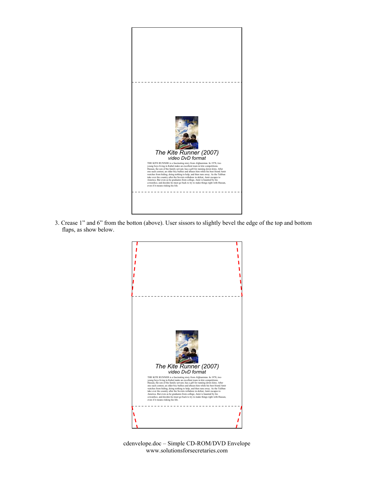

3. Crease 1" and 6" from the botton (above). User sissors to slightly bevel the edge of the top and bottom flaps, as show below.



cdenvelope.doc – Simple CD-ROM/DVD Envelope www.solutionsforsecretaries.com